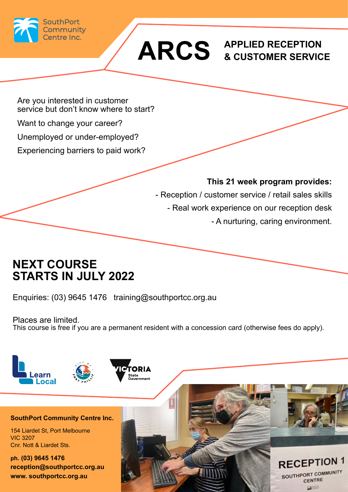

# **ARCS APPLIED RECEPTION & CUSTOMER SERVICE**

Are you interested in customer service but don't know where to start?

Want to change your career?

Unemployed or under-employed?

Experiencing barriers to paid work?

#### **This 21 week program provides:**

- Reception / customer service / retail sales skills - Real work experience on our reception desk - A nurturing, caring environment.

### **NEXT COURSE STARTS IN JULY 2022**

Enquiries: (03) 9645 1476 training@southportcc.org.au

Places are limited. This course is free if you are a permanent resident with a concession card (otherwise fees do apply).